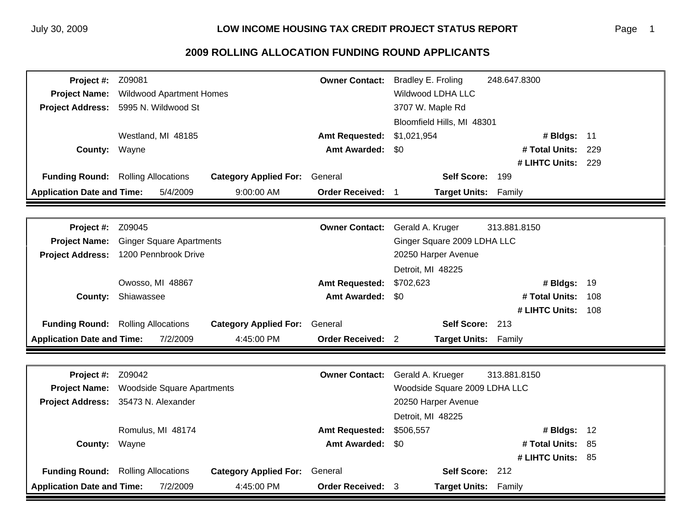## **2009 ROLLING ALLOCATION FUNDING ROUND APPLICANTS**

| <b>Project Name:</b><br><b>Wildwood Apartment Homes</b><br><b>Wildwood LDHA LLC</b><br>5995 N. Wildwood St<br><b>Project Address:</b><br>3707 W. Maple Rd |                            |  |  |
|-----------------------------------------------------------------------------------------------------------------------------------------------------------|----------------------------|--|--|
|                                                                                                                                                           |                            |  |  |
|                                                                                                                                                           |                            |  |  |
|                                                                                                                                                           | Bloomfield Hills, MI 48301 |  |  |
| Westland, MI 48185<br>\$1,021,954<br><b>Amt Requested:</b><br># Bldgs: 11                                                                                 |                            |  |  |
| <b>Amt Awarded:</b><br># Total Units:<br>County:<br>Wayne<br>\$0                                                                                          | 229                        |  |  |
| # LIHTC Units: 229                                                                                                                                        |                            |  |  |
| <b>Funding Round:</b> Rolling Allocations<br>Self Score: 199<br><b>Category Applied For:</b><br>General                                                   |                            |  |  |
| <b>Application Date and Time:</b><br><b>Order Received:</b><br>5/4/2009<br>9:00:00 AM<br>Target Units: Family                                             |                            |  |  |
|                                                                                                                                                           |                            |  |  |
| <b>Owner Contact:</b><br>Z09045<br>Gerald A. Kruger<br>313.881.8150<br>Project #:                                                                         |                            |  |  |
| <b>Project Name:</b><br><b>Ginger Square Apartments</b><br>Ginger Square 2009 LDHA LLC                                                                    |                            |  |  |
| <b>Project Address:</b><br>1200 Pennbrook Drive<br>20250 Harper Avenue                                                                                    |                            |  |  |
| Detroit, MI 48225                                                                                                                                         |                            |  |  |
| Owosso, MI 48867<br><b>Amt Requested:</b><br>\$702,623<br># Bldgs: 19                                                                                     |                            |  |  |
| Shiawassee<br><b>Amt Awarded:</b><br># Total Units:<br>County:<br><b>SO</b>                                                                               | 108                        |  |  |
| # LIHTC Units:                                                                                                                                            | 108                        |  |  |
| Self Score: 213<br><b>Funding Round:</b> Rolling Allocations<br><b>Category Applied For:</b><br>General                                                   |                            |  |  |
| <b>Application Date and Time:</b><br>7/2/2009<br><b>Order Received: 2</b><br>4:45:00 PM<br>Target Units: Family                                           |                            |  |  |
|                                                                                                                                                           |                            |  |  |
| Z09042<br><b>Owner Contact:</b><br>313.881.8150<br>Project #:<br>Gerald A. Krueger                                                                        |                            |  |  |
| Woodside Square 2009 LDHA LLC<br><b>Project Name:</b><br><b>Woodside Square Apartments</b>                                                                |                            |  |  |
| <b>Project Address:</b><br>35473 N. Alexander                                                                                                             | 20250 Harper Avenue        |  |  |
| Detroit, MI 48225                                                                                                                                         |                            |  |  |
| Romulus, MI 48174<br><b>Amt Requested:</b><br>\$506,557<br># Bldgs: 12                                                                                    |                            |  |  |
| <b>Amt Awarded:</b><br>\$0<br># Total Units:<br>County:<br>Wayne                                                                                          | -85                        |  |  |
| # LIHTC Units: 85                                                                                                                                         |                            |  |  |
| <b>Funding Round:</b> Rolling Allocations<br>Self Score: 212<br><b>Category Applied For:</b><br>General                                                   |                            |  |  |
| <b>Application Date and Time:</b><br>7/2/2009<br>4:45:00 PM<br>Order Received: 3<br>Target Units: Family                                                  |                            |  |  |